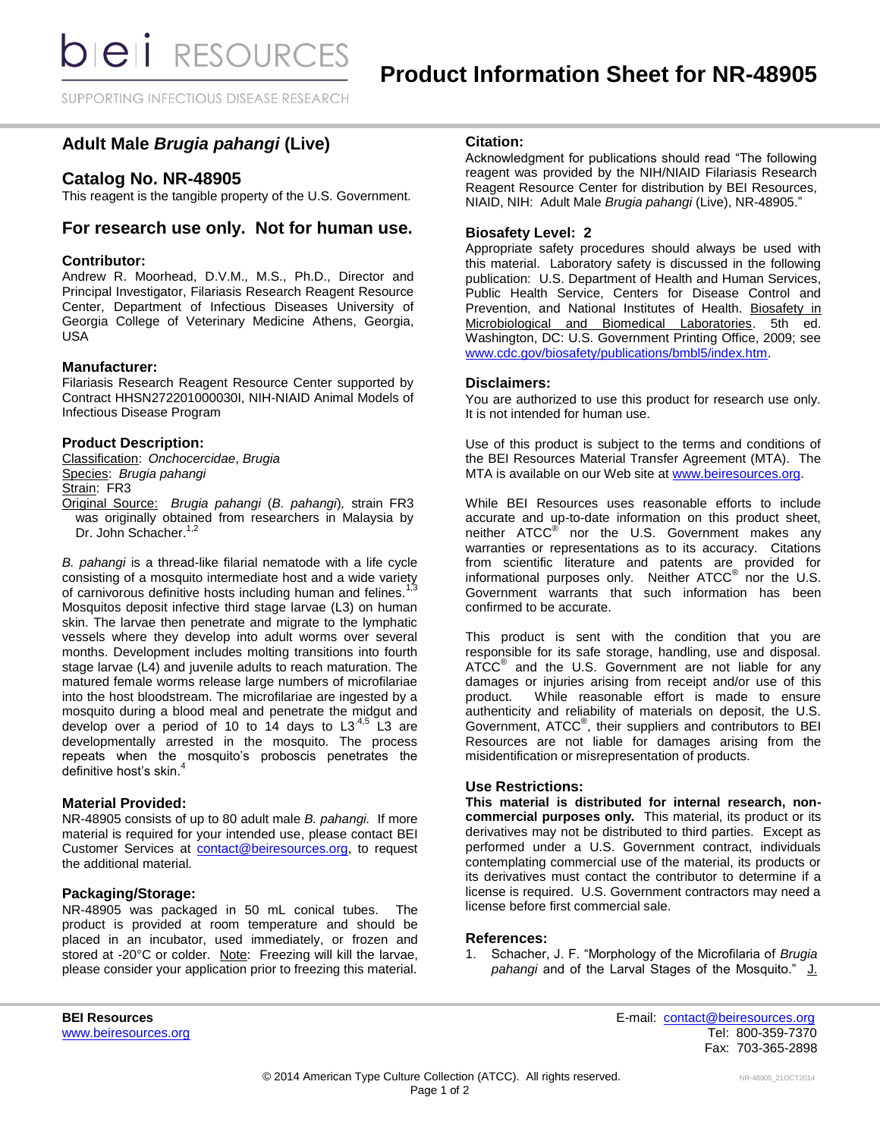**bieli** RESOURCES

SUPPORTING INFECTIOUS DISEASE RESEARCH

# **Adult Male** *Brugia pahangi* **(Live)**

# **Catalog No. NR-48905**

This reagent is the tangible property of the U.S. Government.

# **For research use only. Not for human use.**

## **Contributor:**

Andrew R. Moorhead, D.V.M., M.S., Ph.D., Director and Principal Investigator, Filariasis Research Reagent Resource Center, Department of Infectious Diseases University of Georgia College of Veterinary Medicine Athens, Georgia, USA

#### **Manufacturer:**

Filariasis Research Reagent Resource Center supported by Contract HHSN272201000030I, NIH-NIAID Animal Models of Infectious Disease Program

## **Product Description:**

Dr. John Schacher.<sup>1,2</sup>

Classification: *Onchocercidae*, *Brugia* Species: *Brugia pahangi* Strain: FR3 Original Source: *Brugia pahangi* (*B. pahangi*)*,* strain FR3 was originally obtained from researchers in Malaysia by

*B. pahangi* is a thread-like filarial nematode with a life cycle consisting of a mosquito intermediate host and a wide variety of carnivorous definitive hosts including human and felines. Mosquitos deposit infective third stage larvae (L3) on human skin. The larvae then penetrate and migrate to the lymphatic vessels where they develop into adult worms over several months. Development includes molting transitions into fourth stage larvae (L4) and juvenile adults to reach maturation. The matured female worms release large numbers of microfilariae into the host bloodstream. The microfilariae are ingested by a mosquito during a blood meal and penetrate the midgut and develop over a period of 10 to 14 days to  $L3^{4,5}$  L3 are developmentally arrested in the mosquito. The process repeats when the mosquito's proboscis penetrates the definitive host's skin.<sup>4</sup>

### **Material Provided:**

NR-48905 consists of up to 80 adult male *B. pahangi.* If more material is required for your intended use, please contact BEI Customer Services at [contact@beiresources.org,](mailto:contact@beiresources.org) to request the additional material*.*

## **Packaging/Storage:**

NR-48905 was packaged in 50 mL conical tubes. The product is provided at room temperature and should be placed in an incubator, used immediately, or frozen and stored at -20°C or colder. Note: Freezing will kill the larvae, please consider your application prior to freezing this material.

# **Citation:**

Acknowledgment for publications should read "The following reagent was provided by the NIH/NIAID Filariasis Research Reagent Resource Center for distribution by BEI Resources, NIAID, NIH: Adult Male *Brugia pahangi* (Live), NR-48905."

## **Biosafety Level: 2**

Appropriate safety procedures should always be used with this material. Laboratory safety is discussed in the following publication: U.S. Department of Health and Human Services, Public Health Service, Centers for Disease Control and Prevention, and National Institutes of Health. Biosafety in Microbiological and Biomedical Laboratories. 5th ed. Washington, DC: U.S. Government Printing Office, 2009; see [www.cdc.gov/biosafety/publications/bmbl5/index.htm.](http://www.cdc.gov/biosafety/publications/bmbl5/index.htm)

#### **Disclaimers:**

You are authorized to use this product for research use only. It is not intended for human use.

Use of this product is subject to the terms and conditions of the BEI Resources Material Transfer Agreement (MTA). The MTA is available on our Web site at [www.beiresources.org.](http://www.beiresources.org/)

While BEI Resources uses reasonable efforts to include accurate and up-to-date information on this product sheet, neither ATCC<sup>®</sup> nor the U.S. Government makes any warranties or representations as to its accuracy. Citations from scientific literature and patents are provided for informational purposes only. Neither  $\tt ATCC^@$  nor the U.S. Government warrants that such information has been confirmed to be accurate.

This product is sent with the condition that you are responsible for its safe storage, handling, use and disposal. ATCC<sup>®</sup> and the U.S. Government are not liable for any damages or injuries arising from receipt and/or use of this product. While reasonable effort is made to ensure authenticity and reliability of materials on deposit, the U.S. Government, ATCC® , their suppliers and contributors to BEI Resources are not liable for damages arising from the misidentification or misrepresentation of products.

#### **Use Restrictions:**

**This material is distributed for internal research, noncommercial purposes only.** This material, its product or its derivatives may not be distributed to third parties. Except as performed under a U.S. Government contract, individuals contemplating commercial use of the material, its products or its derivatives must contact the contributor to determine if a license is required. U.S. Government contractors may need a license before first commercial sale.

#### **References:**

1. Schacher, J. F. "Morphology of the Microfilaria of *Brugia*  pahangi and of the Larval Stages of the Mosquito." J.

**BEI Resources** E-mail: [contact@beiresources.org](mailto:contact@beiresources.org) [www.beiresources.org](http://www.beiresources.org/)Tel: 800-359-7370 Fax: 703-365-2898